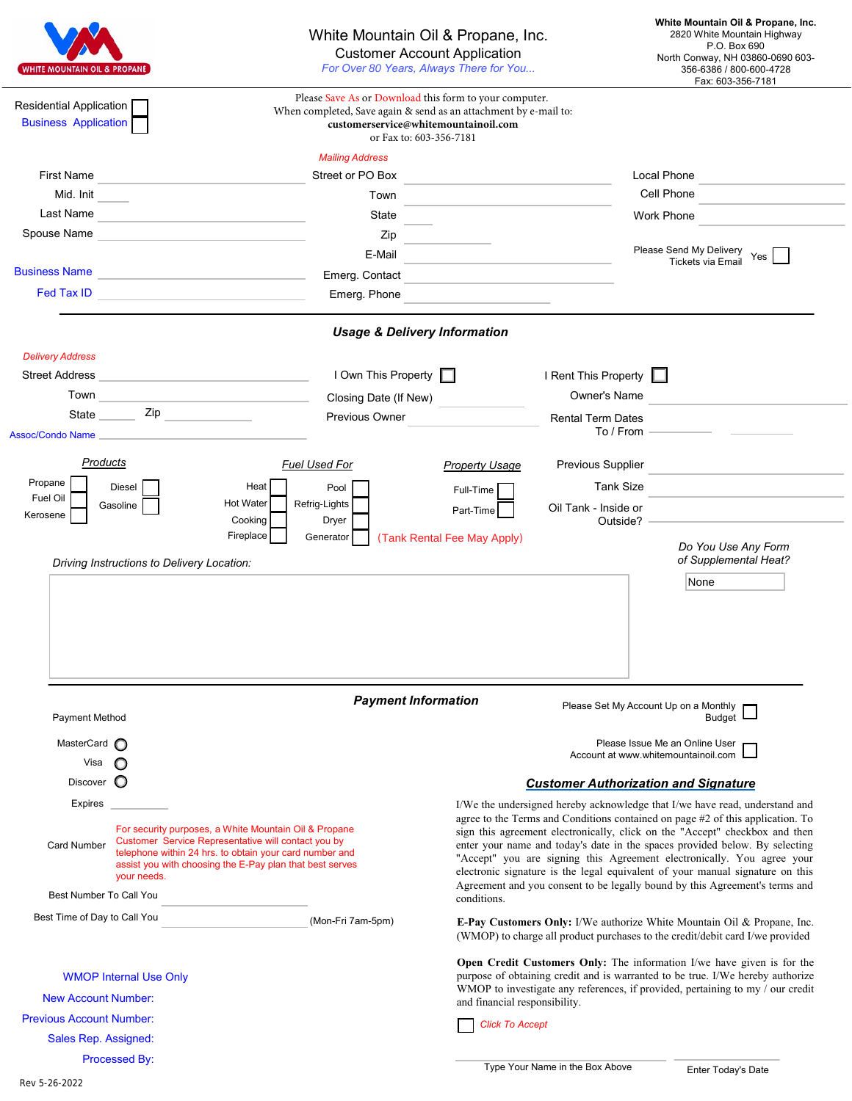| <b>WHITE MOUNTAIN OIL &amp; PROPANE</b>                                                                                                                                                                                                                                                                        |                                                                                                                                             |                                                                                                                                                                                               | White Mountain Oil & Propane, Inc.<br><b>Customer Account Application</b><br>For Over 80 Years, Always There for You                                                                                                                       |                                           | White Mountain Oil & Propane, Inc.<br>2820 White Mountain Highway<br>P.O. Box 690<br>North Conway, NH 03860-0690 603-<br>356-6386 / 800-600-4728<br>Fax: 603-356-7181                                                                                                                                                                                                                                                                                                                                                                                                 |
|----------------------------------------------------------------------------------------------------------------------------------------------------------------------------------------------------------------------------------------------------------------------------------------------------------------|---------------------------------------------------------------------------------------------------------------------------------------------|-----------------------------------------------------------------------------------------------------------------------------------------------------------------------------------------------|--------------------------------------------------------------------------------------------------------------------------------------------------------------------------------------------------------------------------------------------|-------------------------------------------|-----------------------------------------------------------------------------------------------------------------------------------------------------------------------------------------------------------------------------------------------------------------------------------------------------------------------------------------------------------------------------------------------------------------------------------------------------------------------------------------------------------------------------------------------------------------------|
| Residential Application<br><b>Business Application</b>                                                                                                                                                                                                                                                         |                                                                                                                                             | Please Save As or Download this form to your computer.<br>When completed, Save again & send as an attachment by e-mail to:<br>customerservice@whitemountainoil.com<br>or Fax to: 603-356-7181 |                                                                                                                                                                                                                                            |                                           |                                                                                                                                                                                                                                                                                                                                                                                                                                                                                                                                                                       |
|                                                                                                                                                                                                                                                                                                                |                                                                                                                                             | <b>Mailing Address</b>                                                                                                                                                                        |                                                                                                                                                                                                                                            |                                           |                                                                                                                                                                                                                                                                                                                                                                                                                                                                                                                                                                       |
| <b>First Name</b><br>Mid. Init                                                                                                                                                                                                                                                                                 |                                                                                                                                             | Street or PO Box                                                                                                                                                                              | the control of the control of the control of the control of the control of                                                                                                                                                                 |                                           | Local Phone<br>Cell Phone                                                                                                                                                                                                                                                                                                                                                                                                                                                                                                                                             |
| Last Name                                                                                                                                                                                                                                                                                                      |                                                                                                                                             | Town                                                                                                                                                                                          |                                                                                                                                                                                                                                            |                                           | Work Phone                                                                                                                                                                                                                                                                                                                                                                                                                                                                                                                                                            |
| Spouse Name                                                                                                                                                                                                                                                                                                    | <u> 1980 - Johann Barn, mars an t-Amerikaansk politiker (</u><br>the control of the control of the control of the control of the control of | State                                                                                                                                                                                         |                                                                                                                                                                                                                                            |                                           |                                                                                                                                                                                                                                                                                                                                                                                                                                                                                                                                                                       |
|                                                                                                                                                                                                                                                                                                                |                                                                                                                                             | E-Mail                                                                                                                                                                                        | $\mathsf{Zip}$                                                                                                                                                                                                                             |                                           | Please Send My Delivery                                                                                                                                                                                                                                                                                                                                                                                                                                                                                                                                               |
| <b>Business Name</b>                                                                                                                                                                                                                                                                                           | <u> 1980 - Johann Barbara, martxa alemaniar a</u>                                                                                           | Emerg. Contact                                                                                                                                                                                |                                                                                                                                                                                                                                            |                                           | Yes<br>Tickets via Email                                                                                                                                                                                                                                                                                                                                                                                                                                                                                                                                              |
|                                                                                                                                                                                                                                                                                                                |                                                                                                                                             | Emerg. Phone                                                                                                                                                                                  | <u> 1989 - Johann Barn, mars an t-Amerikaansk politiker (</u>                                                                                                                                                                              |                                           |                                                                                                                                                                                                                                                                                                                                                                                                                                                                                                                                                                       |
|                                                                                                                                                                                                                                                                                                                |                                                                                                                                             | <b>Usage &amp; Delivery Information</b>                                                                                                                                                       |                                                                                                                                                                                                                                            |                                           |                                                                                                                                                                                                                                                                                                                                                                                                                                                                                                                                                                       |
| <b>Delivery Address</b>                                                                                                                                                                                                                                                                                        |                                                                                                                                             |                                                                                                                                                                                               |                                                                                                                                                                                                                                            |                                           |                                                                                                                                                                                                                                                                                                                                                                                                                                                                                                                                                                       |
| Street Address                                                                                                                                                                                                                                                                                                 |                                                                                                                                             | I Own This Property                                                                                                                                                                           |                                                                                                                                                                                                                                            | I Rent This Property                      |                                                                                                                                                                                                                                                                                                                                                                                                                                                                                                                                                                       |
| Town <b>Example 2018</b> Town <b>Contract Contract Contract Contract Contract Contract Contract Contract Contract Contract Contract Contract Contract Contract Contract Contract Contract Contract Contract Contract Contract Contrac</b>                                                                      |                                                                                                                                             |                                                                                                                                                                                               | Closing Date (If New)                                                                                                                                                                                                                      |                                           |                                                                                                                                                                                                                                                                                                                                                                                                                                                                                                                                                                       |
| $\mathsf{Zip}$<br>State                                                                                                                                                                                                                                                                                        |                                                                                                                                             | Previous Owner                                                                                                                                                                                |                                                                                                                                                                                                                                            |                                           |                                                                                                                                                                                                                                                                                                                                                                                                                                                                                                                                                                       |
|                                                                                                                                                                                                                                                                                                                | Assoc/Condo Name                                                                                                                            |                                                                                                                                                                                               |                                                                                                                                                                                                                                            | <b>Rental Term Dates</b><br>$To / From$ — |                                                                                                                                                                                                                                                                                                                                                                                                                                                                                                                                                                       |
| <b>Products</b>                                                                                                                                                                                                                                                                                                |                                                                                                                                             | Fuel Used For                                                                                                                                                                                 | <b>Property Usage</b>                                                                                                                                                                                                                      | Previous Supplier                         |                                                                                                                                                                                                                                                                                                                                                                                                                                                                                                                                                                       |
| Propane                                                                                                                                                                                                                                                                                                        | Diesel                                                                                                                                      | Heat<br>Pool                                                                                                                                                                                  | Full-Time                                                                                                                                                                                                                                  | Tank Size                                 |                                                                                                                                                                                                                                                                                                                                                                                                                                                                                                                                                                       |
| Fuel Oil                                                                                                                                                                                                                                                                                                       | Gasoline                                                                                                                                    | <b>Hot Water</b><br>Refrig-Lights                                                                                                                                                             | Part-Time                                                                                                                                                                                                                                  | Oil Tank - Inside or                      |                                                                                                                                                                                                                                                                                                                                                                                                                                                                                                                                                                       |
| Kerosene                                                                                                                                                                                                                                                                                                       |                                                                                                                                             | Cooking<br>Dryer                                                                                                                                                                              |                                                                                                                                                                                                                                            | Outside? -                                |                                                                                                                                                                                                                                                                                                                                                                                                                                                                                                                                                                       |
|                                                                                                                                                                                                                                                                                                                | Driving Instructions to Delivery Location:                                                                                                  | Fireplace<br>Generator                                                                                                                                                                        | (Tank Rental Fee May Apply)                                                                                                                                                                                                                |                                           | Do You Use Any Form<br>of Supplemental Heat?                                                                                                                                                                                                                                                                                                                                                                                                                                                                                                                          |
|                                                                                                                                                                                                                                                                                                                |                                                                                                                                             |                                                                                                                                                                                               |                                                                                                                                                                                                                                            |                                           | None                                                                                                                                                                                                                                                                                                                                                                                                                                                                                                                                                                  |
| Payment Method                                                                                                                                                                                                                                                                                                 |                                                                                                                                             | <b>Payment Information</b>                                                                                                                                                                    |                                                                                                                                                                                                                                            |                                           | Please Set My Account Up on a Monthly<br><b>Budget</b>                                                                                                                                                                                                                                                                                                                                                                                                                                                                                                                |
| MasterCard n                                                                                                                                                                                                                                                                                                   |                                                                                                                                             |                                                                                                                                                                                               |                                                                                                                                                                                                                                            |                                           | Please Issue Me an Online User<br>Account at www.whitemountainoil.com                                                                                                                                                                                                                                                                                                                                                                                                                                                                                                 |
| Visa                                                                                                                                                                                                                                                                                                           |                                                                                                                                             |                                                                                                                                                                                               |                                                                                                                                                                                                                                            |                                           |                                                                                                                                                                                                                                                                                                                                                                                                                                                                                                                                                                       |
| Discover C                                                                                                                                                                                                                                                                                                     |                                                                                                                                             |                                                                                                                                                                                               |                                                                                                                                                                                                                                            |                                           | <b>Customer Authorization and Signature</b>                                                                                                                                                                                                                                                                                                                                                                                                                                                                                                                           |
| Expires<br>For security purposes, a White Mountain Oil & Propane<br>Customer Service Representative will contact you by<br><b>Card Number</b><br>telephone within 24 hrs. to obtain your card number and<br>assist you with choosing the E-Pay plan that best serves<br>your needs.<br>Best Number To Call You |                                                                                                                                             |                                                                                                                                                                                               | conditions.                                                                                                                                                                                                                                |                                           | I/We the undersigned hereby acknowledge that I/we have read, understand and<br>agree to the Terms and Conditions contained on page #2 of this application. To<br>sign this agreement electronically, click on the "Accept" checkbox and then<br>enter your name and today's date in the spaces provided below. By selecting<br>"Accept" you are signing this Agreement electronically. You agree your<br>electronic signature is the legal equivalent of your manual signature on this<br>Agreement and you consent to be legally bound by this Agreement's terms and |
|                                                                                                                                                                                                                                                                                                                |                                                                                                                                             |                                                                                                                                                                                               |                                                                                                                                                                                                                                            |                                           |                                                                                                                                                                                                                                                                                                                                                                                                                                                                                                                                                                       |
| Best Time of Day to Call You                                                                                                                                                                                                                                                                                   |                                                                                                                                             | (Mon-Fri 7am-5pm)                                                                                                                                                                             | <b>E-Pay Customers Only:</b> I/We authorize White Mountain Oil & Propane, Inc.<br>(WMOP) to charge all product purchases to the credit/debit card I/we provided                                                                            |                                           |                                                                                                                                                                                                                                                                                                                                                                                                                                                                                                                                                                       |
| <b>New Account Number:</b>                                                                                                                                                                                                                                                                                     | <b>WMOP Internal Use Only</b>                                                                                                               |                                                                                                                                                                                               | Open Credit Customers Only: The information I/we have given is for the<br>purpose of obtaining credit and is warranted to be true. I/We hereby authorize<br>WMOP to investigate any references, if provided, pertaining to my / our credit |                                           |                                                                                                                                                                                                                                                                                                                                                                                                                                                                                                                                                                       |
| <b>Previous Account Number:</b>                                                                                                                                                                                                                                                                                |                                                                                                                                             |                                                                                                                                                                                               | and financial responsibility.                                                                                                                                                                                                              |                                           |                                                                                                                                                                                                                                                                                                                                                                                                                                                                                                                                                                       |
| Sales Rep. Assigned:                                                                                                                                                                                                                                                                                           |                                                                                                                                             |                                                                                                                                                                                               | <b>Click To Accept</b>                                                                                                                                                                                                                     |                                           |                                                                                                                                                                                                                                                                                                                                                                                                                                                                                                                                                                       |
|                                                                                                                                                                                                                                                                                                                | Processed By:                                                                                                                               |                                                                                                                                                                                               |                                                                                                                                                                                                                                            |                                           |                                                                                                                                                                                                                                                                                                                                                                                                                                                                                                                                                                       |
|                                                                                                                                                                                                                                                                                                                |                                                                                                                                             |                                                                                                                                                                                               |                                                                                                                                                                                                                                            |                                           |                                                                                                                                                                                                                                                                                                                                                                                                                                                                                                                                                                       |